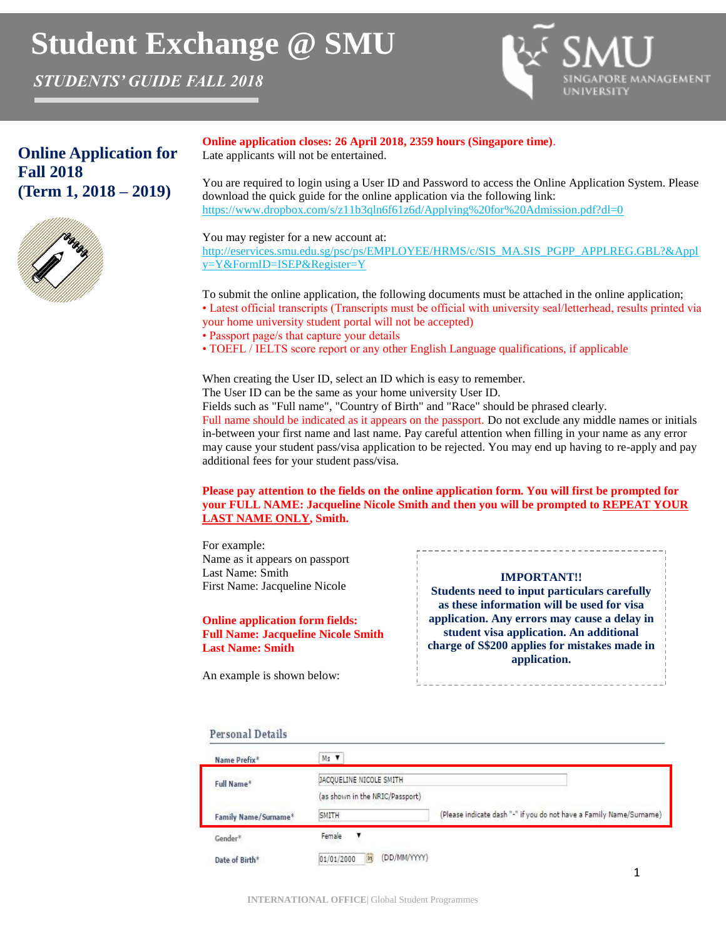# **Student Exchange @ SMU**

*STUDENTS' GUIDE FALL 2018*



# **Online Application for Fall 2018 (Term 1, 2018 – 2019)**



**Online application closes: 26 April 2018, 2359 hours (Singapore time)**. Late applicants will not be entertained.

You are required to login using a User ID and Password to access the Online Application System. Please download the quick guide for the online application via the following link: https://www.dropbox.com/s/z11b3qln6f61z6d/Applying%20for%20Admission.pdf?dl=0

You may register for a new account at:

http://eservices.smu.edu.sg/psc/ps/EMPLOYEE/HRMS/c/SIS\_MA.SIS\_PGPP\_APPLREG.GBL?&Appl y=Y&FormID=ISEP&Register=Y

To submit the online application, the following documents must be attached in the online application; • Latest official transcripts (Transcripts must be official with university seal/letterhead, results printed via your home university student portal will not be accepted)

• Passport page/s that capture your details

• TOEFL / IELTS score report or any other English Language qualifications, if applicable

When creating the User ID, select an ID which is easy to remember.

The User ID can be the same as your home university User ID.

Fields such as "Full name", "Country of Birth" and "Race" should be phrased clearly.

Full name should be indicated as it appears on the passport. Do not exclude any middle names or initials in-between your first name and last name. Pay careful attention when filling in your name as any error may cause your student pass/visa application to be rejected. You may end up having to re-apply and pay additional fees for your student pass/visa.

### **Please pay attention to the fields on the online application form. You will first be prompted for your FULL NAME: Jacqueline Nicole Smith and then you will be prompted to REPEAT YOUR LAST NAME ONLY, Smith.**

For example: Name as it appears on passport Last Name: Smith First Name: Jacqueline Nicole

### **Online application form fields: Full Name: Jacqueline Nicole Smith Last Name: Smith**

An example is shown below:

### **IMPORTANT!!**

**Students need to input particulars carefully as these information will be used for visa application. Any errors may cause a delay in student visa application. An additional charge of S\$200 applies for mistakes made in application.** 

### **Personal Details**

| Name Prefix*         | Ms V                             |                                                                     |  |  |
|----------------------|----------------------------------|---------------------------------------------------------------------|--|--|
| Full Name*           | JACQUELINE NICOLE SMITH          |                                                                     |  |  |
|                      | (as shown in the NRIC/Passport)  |                                                                     |  |  |
| Family Name/Surname* | SMITH                            | (Please indicate dash "-" if you do not have a Family Name/Surname) |  |  |
| Gender*              | Female                           |                                                                     |  |  |
| Date of Birth*       | (DD/MM/YYYY)<br>01/01/2000<br>31 |                                                                     |  |  |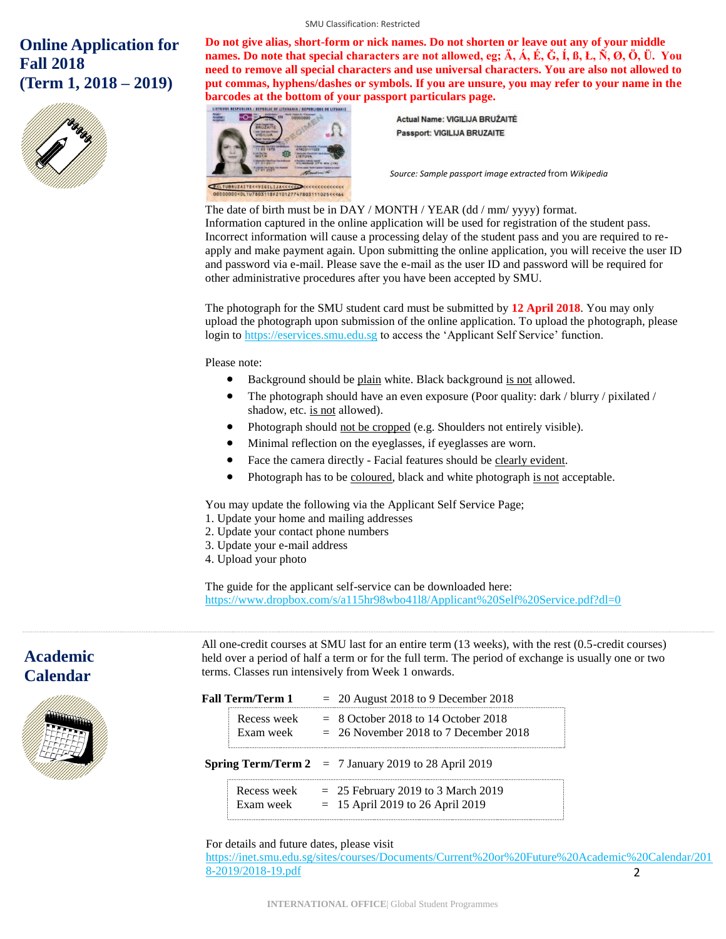# **Online Application for Fall 2018 (Term 1, 2018 – 2019)**



**Do not give alias, short-form or nick names. Do not shorten or leave out any of your middle names. Do note that special characters are not allowed, eg; Ä, Á, É, Ğ, Í, ß, Ł, Ñ, Ø, Ö, Ü. You need to remove all special characters and use universal characters. You are also not allowed to put commas, hyphens/dashes or symbols. If you are unsure, you may refer to your name in the barcodes at the bottom of your passport particulars page.**

<u>IANIA / REPUBLIQUE DE LITUANIE</u>



Actual Name: VIGILIJA BRUŽAITĖ **Passport: VIGILIJA BRUZAITE** 

*Source: Sample passport image extracted* from *Wikipedia*

### The date of birth must be in DAY / MONTH / YEAR (dd / mm/ yyyy) format.

Information captured in the online application will be used for registration of the student pass. Incorrect information will cause a processing delay of the student pass and you are required to reapply and make payment again. Upon submitting the online application, you will receive the user ID and password via e-mail. Please save the e-mail as the user ID and password will be required for other administrative procedures after you have been accepted by SMU.

The photograph for the SMU student card must be submitted by **12 April 2018**. You may only upload the photograph upon submission of the online application. To upload the photograph, please login to [https://eservices.smu.edu.sg](https://eservices.smu.edu.sg/) to access the 'Applicant Self Service' function.

Please note:

- Background should be plain white. Black background is not allowed.
- The photograph should have an even exposure (Poor quality: dark / blurry / pixilated / shadow, etc. is not allowed).
- Photograph should not be cropped (e.g. Shoulders not entirely visible).
- Minimal reflection on the eyeglasses, if eyeglasses are worn.
- Face the camera directly Facial features should be clearly evident.
- Photograph has to be coloured, black and white photograph is not acceptable.

You may update the following via the Applicant Self Service Page;

- 1. Update your home and mailing addresses
- 2. Update your contact phone numbers
- 3. Update your e-mail address
- 4. Upload your photo

The guide for the applicant self-service can be downloaded here: https://www.dropbox.com/s/a115hr98wbo41l8/Applicant%20Self%20Service.pdf?dl=0

# **Academic Calendar**



All one-credit courses at SMU last for an entire term (13 weeks), with the rest (0.5-credit courses) held over a period of half a term or for the full term. The period of exchange is usually one or two terms. Classes run intensively from Week 1 onwards.

| Fall Term/Term 1 |                          | $= 20$ August 2018 to 9 December 2018                                            |
|------------------|--------------------------|----------------------------------------------------------------------------------|
|                  | Recess week<br>Exam week | $=$ 8 October 2018 to 14 October 2018<br>$= 26$ November 2018 to 7 December 2018 |
|                  |                          | <b>Spring Term/Term 2</b> $= 7$ January 2019 to 28 April 2019                    |
|                  |                          |                                                                                  |

For details and future dates, please visit

2 [https://inet.smu.edu.sg/sites/courses/Documents/Current%20or%20Future%20Academic%20Calendar/201](https://inet.smu.edu.sg/sites/courses/Documents/Current%20or%20Future%20Academic%20Calendar/2018-2019/2018-19.pdf) [8-2019/2018-19.pdf](https://inet.smu.edu.sg/sites/courses/Documents/Current%20or%20Future%20Academic%20Calendar/2018-2019/2018-19.pdf)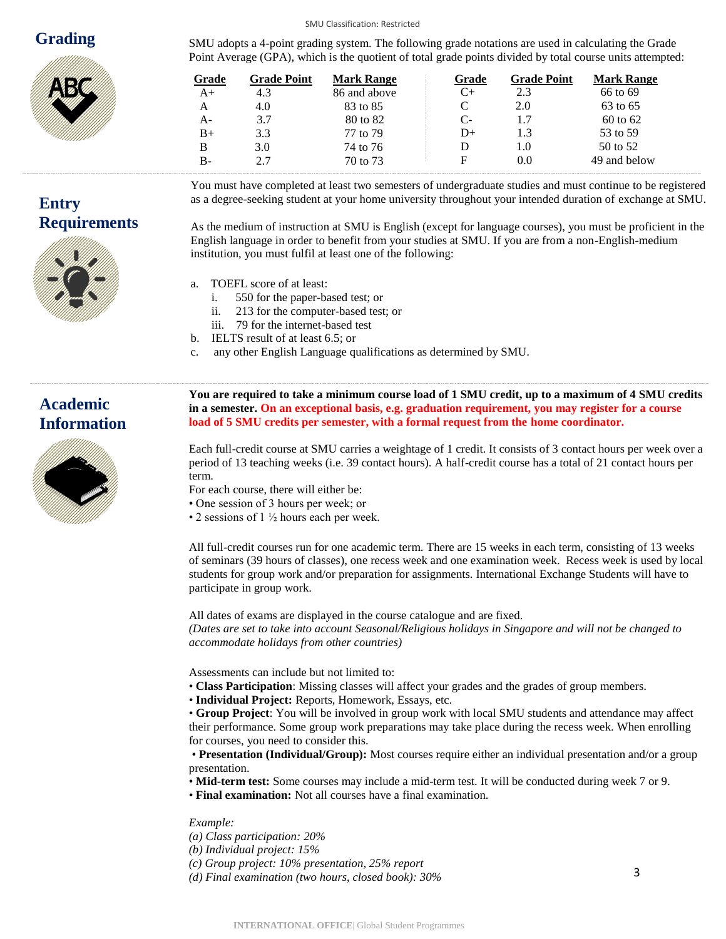### **Grading**



**Entry**

SMU adopts a 4-point grading system. The following grade notations are used in calculating the Grade Point Average (GPA), which is the quotient of total grade points divided by total course units attempted:

| Grade | <b>Grade Point</b> | <b>Mark Range</b> | Grade | <b>Grade Point</b> | <b>Mark Range</b> |
|-------|--------------------|-------------------|-------|--------------------|-------------------|
| $A+$  | 4.3                | 86 and above      | C+    | 2.3                | 66 to 69          |
| A     | 4.0                | 83 to 85          |       | 2.0                | 63 to 65          |
| $A -$ | 3.7                | 80 to 82          | $C-$  | 1.7                | 60 to 62          |
| $B+$  | 3.3                | 77 to 79          | D+    | 1.3                | 53 to 59          |
| B     | 3.0                | 74 to 76          |       | 1.0                | 50 to 52          |
| $B -$ | 2.7                | 70 to 73          | F     | 0.0                | 49 and below      |

**Requirements** You must have completed at least two semesters of undergraduate studies and must continue to be registered as a degree-seeking student at your home university throughout your intended duration of exchange at SMU.

As the medium of instruction at SMU is English (except for language courses), you must be proficient in the English language in order to benefit from your studies at SMU. If you are from a non-English-medium institution, you must fulfil at least one of the following:

- a. TOEFL score of at least:
	- i. 550 for the paper-based test; or
	- ii. 213 for the computer-based test; or
	- iii. 79 for the internet-based test
- b. IELTS result of at least 6.5; or
- c. any other English Language qualifications as determined by SMU.

SMU Classification: Restricted

# **Academic Information**



**in a semester. On an exceptional basis, e.g. graduation requirement, you may register for a course load of 5 SMU credits per semester, with a formal request from the home coordinator.** 

**You are required to take a minimum course load of 1 SMU credit, up to a maximum of 4 SMU credits** 

Each full-credit course at SMU carries a weightage of 1 credit. It consists of 3 contact hours per week over a period of 13 teaching weeks (i.e. 39 contact hours). A half-credit course has a total of 21 contact hours per term.

- For each course, there will either be:
- One session of 3 hours per week; or
- 2 sessions of  $1\frac{1}{2}$  hours each per week.

All full-credit courses run for one academic term. There are 15 weeks in each term, consisting of 13 weeks of seminars (39 hours of classes), one recess week and one examination week. Recess week is used by local students for group work and/or preparation for assignments. International Exchange Students will have to participate in group work.

All dates of exams are displayed in the course catalogue and are fixed.

*(Dates are set to take into account Seasonal/Religious holidays in Singapore and will not be changed to accommodate holidays from other countries)* 

Assessments can include but not limited to:

- **Class Participation**: Missing classes will affect your grades and the grades of group members.
- **Individual Project:** Reports, Homework, Essays, etc.

• **Group Project**: You will be involved in group work with local SMU students and attendance may affect their performance. Some group work preparations may take place during the recess week. When enrolling for courses, you need to consider this.

• **Presentation (Individual/Group):** Most courses require either an individual presentation and/or a group presentation.

- **Mid-term test:** Some courses may include a mid-term test. It will be conducted during week 7 or 9.
- **Final examination:** Not all courses have a final examination.

*Example:* 

*(a) Class participation: 20%* 

*(b) Individual project: 15%* 

*(c) Group project: 10% presentation, 25% report* 

*(d) Final examination (two hours, closed book): 30%*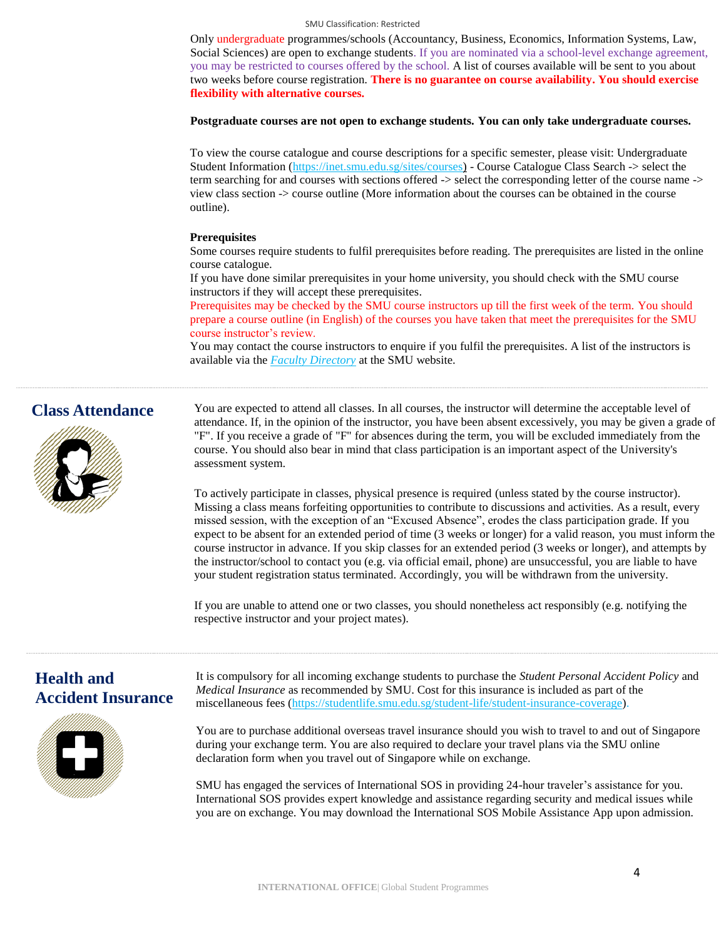Only undergraduate programmes/schools (Accountancy, Business, Economics, Information Systems, Law, Social Sciences) are open to exchange students. If you are nominated via a school-level exchange agreement, you may be restricted to courses offered by the school. A list of courses available will be sent to you about two weeks before course registration. **There is no guarantee on course availability. You should exercise flexibility with alternative courses.**

#### **Postgraduate courses are not open to exchange students. You can only take undergraduate courses.**

To view the course catalogue and course descriptions for a specific semester, please visit: Undergraduate Student Information [\(https://inet.smu.edu.sg/sites/courses\)](https://inet.smu.edu.sg/sites/courses) - Course Catalogue Class Search -> select the term searching for and courses with sections offered -> select the corresponding letter of the course name -> view class section -> course outline (More information about the courses can be obtained in the course outline).

### **Prerequisites**

Some courses require students to fulfil prerequisites before reading. The prerequisites are listed in the online course catalogue.

If you have done similar prerequisites in your home university, you should check with the SMU course instructors if they will accept these prerequisites.

Prerequisites may be checked by the SMU course instructors up till the first week of the term. You should prepare a course outline (in English) of the courses you have taken that meet the prerequisites for the SMU course instructor's review.

You may contact the course instructors to enquire if you fulfil the prerequisites. A list of the instructors is available via the *[Faculty Directory](http://www.smu.edu.sg/faculty/main)* at the SMU website.

### **Class Attendance**



You are expected to attend all classes. In all courses, the instructor will determine the acceptable level of attendance. If, in the opinion of the instructor, you have been absent excessively, you may be given a grade of "F". If you receive a grade of "F" for absences during the term, you will be excluded immediately from the course. You should also bear in mind that class participation is an important aspect of the University's assessment system.

To actively participate in classes, physical presence is required (unless stated by the course instructor). Missing a class means forfeiting opportunities to contribute to discussions and activities. As a result, every missed session, with the exception of an "Excused Absence", erodes the class participation grade. If you expect to be absent for an extended period of time (3 weeks or longer) for a valid reason, you must inform the course instructor in advance. If you skip classes for an extended period (3 weeks or longer), and attempts by the instructor/school to contact you (e.g. via official email, phone) are unsuccessful, you are liable to have your student registration status terminated. Accordingly, you will be withdrawn from the university.

If you are unable to attend one or two classes, you should nonetheless act responsibly (e.g. notifying the respective instructor and your project mates).

### **Health and Accident Insurance**



It is compulsory for all incoming exchange students to purchase the *Student Personal Accident Policy* and *Medical Insurance* as recommended by SMU. Cost for this insurance is included as part of the miscellaneous fees [\(https://studentlife.smu.edu.sg/student-life/student-insurance-coverage\)](https://studentlife.smu.edu.sg/student-life/student-insurance-coverage).

You are to purchase additional overseas travel insurance should you wish to travel to and out of Singapore during your exchange term. You are also required to declare your travel plans via the SMU online declaration form when you travel out of Singapore while on exchange.

SMU has engaged the services of International SOS in providing 24-hour traveler's assistance for you. International SOS provides expert knowledge and assistance regarding security and medical issues while you are on exchange. You may download the International SOS Mobile Assistance App upon admission.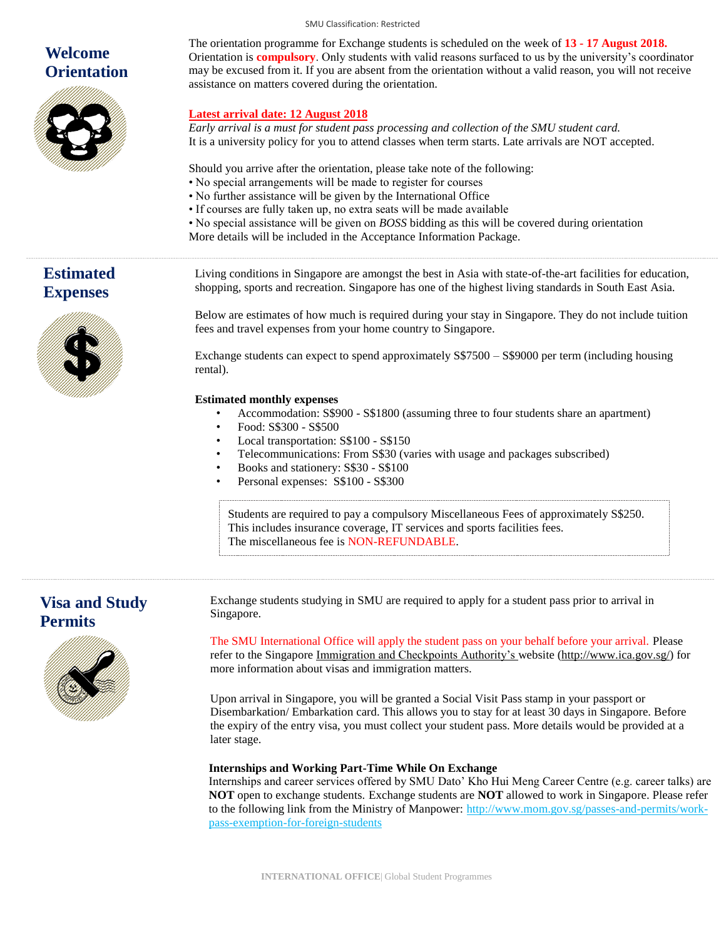# **Welcome Orientation**



The orientation programme for Exchange students is scheduled on the week of **13 - 17 August 2018.** Orientation is **compulsory**. Only students with valid reasons surfaced to us by the university's coordinator may be excused from it. If you are absent from the orientation without a valid reason, you will not receive assistance on matters covered during the orientation.

### **Latest arrival date: 12 August 2018**

*Early arrival is a must for student pass processing and collection of the SMU student card.* It is a university policy for you to attend classes when term starts. Late arrivals are NOT accepted.

Should you arrive after the orientation, please take note of the following:

- No special arrangements will be made to register for courses
- No further assistance will be given by the International Office
- If courses are fully taken up, no extra seats will be made available
- No special assistance will be given on *BOSS* bidding as this will be covered during orientation
- More details will be included in the Acceptance Information Package.

**Estimated Expenses**



Living conditions in Singapore are amongst the best in Asia with state-of-the-art facilities for education, shopping, sports and recreation. Singapore has one of the highest living standards in South East Asia.

Below are estimates of how much is required during your stay in Singapore. They do not include tuition fees and travel expenses from your home country to Singapore.

Exchange students can expect to spend approximately S\$7500 – S\$9000 per term (including housing rental).

### **Estimated monthly expenses**

- Accommodation: S\$900 S\$1800 (assuming three to four students share an apartment)
- Food: S\$300 S\$500
- Local transportation: S\$100 S\$150
- Telecommunications: From S\$30 (varies with usage and packages subscribed)
- Books and stationery: S\$30 S\$100
- Personal expenses: S\$100 S\$300

Students are required to pay a compulsory Miscellaneous Fees of approximately S\$250. This includes insurance coverage, IT services and sports facilities fees. The miscellaneous fee is NON-REFUNDABLE.

### **Visa and Study Permits**



Exchange students studying in SMU are required to apply for a student pass prior to arrival in Singapore.

The SMU International Office will apply the student pass on your behalf before your arrival. Please refer to the Singapore [Immigration and Checkpoints Authority's w](http://www.ica.gov.sg/)ebsite [\(http://www.ica.gov.sg/\)](http://www.ica.gov.sg/) for more information about visas and immigration matters.

Upon arrival in Singapore, you will be granted a Social Visit Pass stamp in your passport or Disembarkation/ Embarkation card. This allows you to stay for at least 30 days in Singapore. Before the expiry of the entry visa, you must collect your student pass. More details would be provided at a later stage.

### **Internships and Working Part-Time While On Exchange**

Internships and career services offered by SMU Dato' Kho Hui Meng Career Centre (e.g. career talks) are **NOT** open to exchange students. Exchange students are **NOT** allowed to work in Singapore. Please refer to the following link from the Ministry of Manpower: [http://www.mom.gov.sg/passes-and-permits/work](http://www.mom.gov.sg/passes-and-permits/work-pass-exemption-for-foreign-students)[pass-exemption-for-foreign-students](http://www.mom.gov.sg/passes-and-permits/work-pass-exemption-for-foreign-students)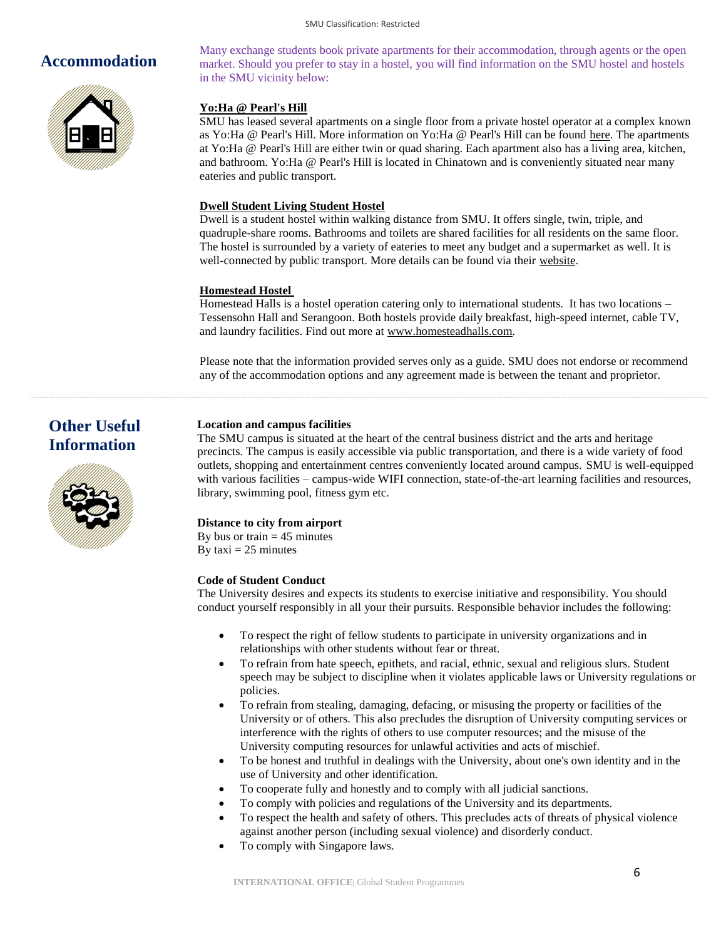### **Accommodation**



Many exchange students book private apartments for their accommodation, through agents or the open market. Should you prefer to stay in a hostel, you will find information on the SMU hostel and hostels in the SMU vicinity below:

### **Yo:Ha @ Pearl's Hill**

SMU has leased several apartments on a single floor from a private hostel operator at a complex known as Yo:Ha @ Pearl's Hill. More information on Yo:Ha @ Pearl's Hill can be found [here.](https://www.smu.edu.sg/campus-information/accommodation-at-evan-hostel) The apartments at Yo:Ha @ Pearl's Hill are either twin or quad sharing. Each apartment also has a living area, kitchen, and bathroom. Yo:Ha @ Pearl's Hill is located in Chinatown and is conveniently situated near many eateries and public transport.

### **Dwell Student Living Student Hostel**

Dwell is a student hostel within walking distance from SMU. It offers single, twin, triple, and quadruple-share rooms. Bathrooms and toilets are shared facilities for all residents on the same floor. The hostel is surrounded by a variety of eateries to meet any budget and a supermarket as well. It is well-connected by public transport. More details can be found via their [website.](http://www.dwellstudent.com.sg/en/)

### **Homestead Hostel**

Homestead Halls is a hostel operation catering only to international students. It has two locations – Tessensohn Hall and Serangoon. Both hostels provide daily breakfast, high-speed internet, cable TV, and laundry facilities. Find out more a[t www.homesteadhalls.com.](http://www.homesteadhalls.com/)

Please note that the information provided serves only as a guide. SMU does not endorse or recommend any of the accommodation options and any agreement made is between the tenant and proprietor.

# **Other Useful Information**



### **Location and campus facilities**

The SMU campus is situated at the heart of the central business district and the arts and heritage precincts. The campus is easily accessible via public transportation, and there is a wide variety of food outlets, shopping and entertainment centres conveniently located around campus. SMU is well-equipped with various facilities – campus-wide WIFI connection, state-of-the-art learning facilities and resources, library, swimming pool, fitness gym etc.

### **Distance to city from airport**

By bus or train  $= 45$  minutes By taxi  $= 25$  minutes

### **Code of Student Conduct**

The University desires and expects its students to exercise initiative and responsibility. You should conduct yourself responsibly in all your their pursuits. Responsible behavior includes the following:

- To respect the right of fellow students to participate in university organizations and in relationships with other students without fear or threat.
- To refrain from hate speech, epithets, and racial, ethnic, sexual and religious slurs. Student speech may be subject to discipline when it violates applicable laws or University regulations or policies.
- To refrain from stealing, damaging, defacing, or misusing the property or facilities of the University or of others. This also precludes the disruption of University computing services or interference with the rights of others to use computer resources; and the misuse of the University computing resources for unlawful activities and acts of mischief.
- To be honest and truthful in dealings with the University, about one's own identity and in the use of University and other identification.
- To cooperate fully and honestly and to comply with all judicial sanctions.
- To comply with policies and regulations of the University and its departments.
- To respect the health and safety of others. This precludes acts of threats of physical violence against another person (including sexual violence) and disorderly conduct.
- To comply with Singapore laws.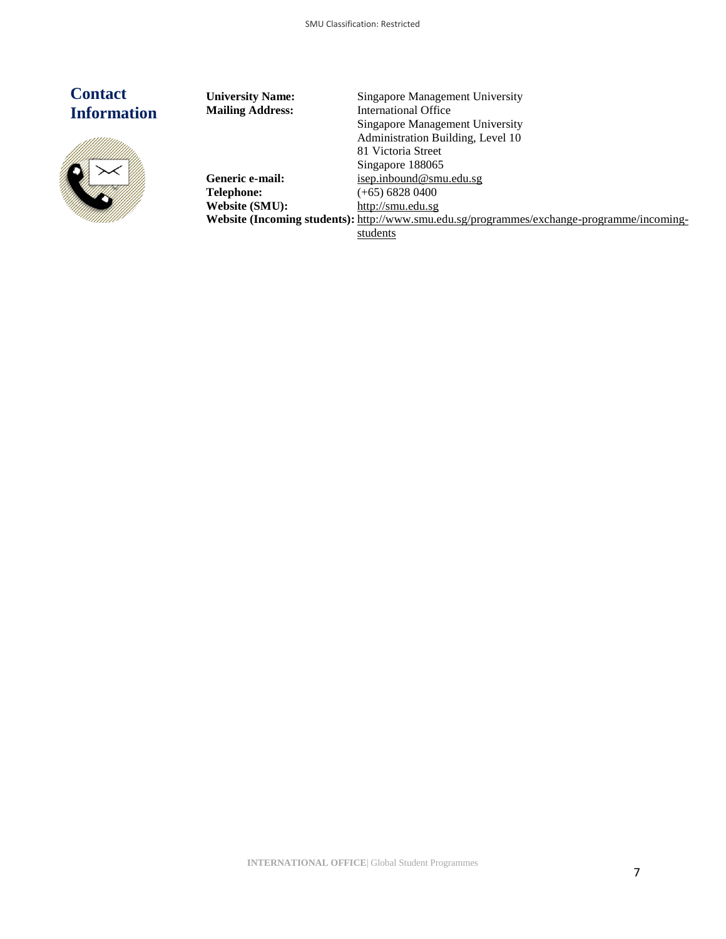# **Contact Information**



**University Name:** Singapore Management University **Mailing Address:** International Office Singapore Management University Administration Building, Level 10 81 Victoria Street Singapore 188065 Generic e-mail: **[isep.inbound@smu.edu.sg](mailto:isep.inbound@smu.edu.sg) Telephone:** (+65) 6828 0400<br>**Website (SMU):** http://smu.edu.sg **Website (SMU):** [http://smu.edu.sg](http://smu.edu.sg/) **Website (Incoming students):** [http://www.smu.edu.sg/programmes/exchange-programme/incoming](http://www.smu.edu.sg/programmes/exchange-programme/incoming-students)[students](http://www.smu.edu.sg/programmes/exchange-programme/incoming-students)

**INTERNATIONAL OFFICE**| Global Student Programmes